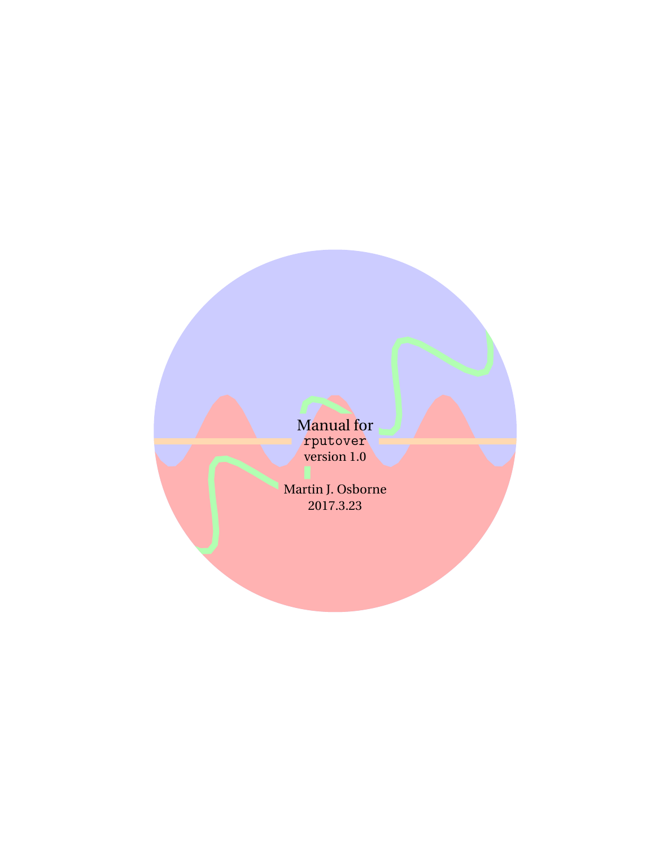M<mark>anual for</mark> rputover version 1.0

Martin J. Osborne 2017.3.23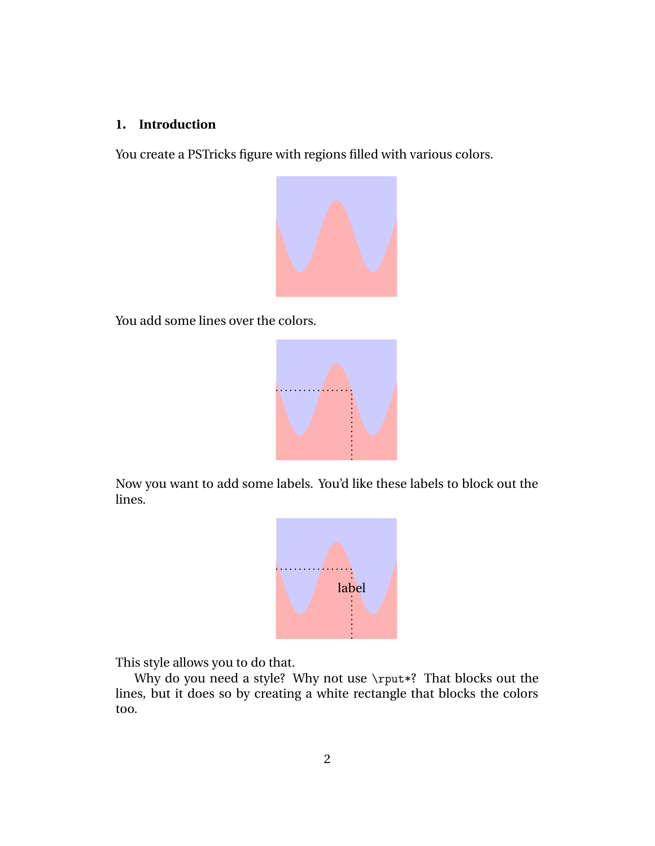## **1. Introduction**

You create a PSTricks figure with regions filled with various colors.



You add some lines over the colors.



Now you want to add some labels. You'd like these labels to block out the lines.



This style allows you to do that.

Why do you need a style? Why not use \rput\*? That blocks out the lines, but it does so by creating a white rectangle that blocks the colors too.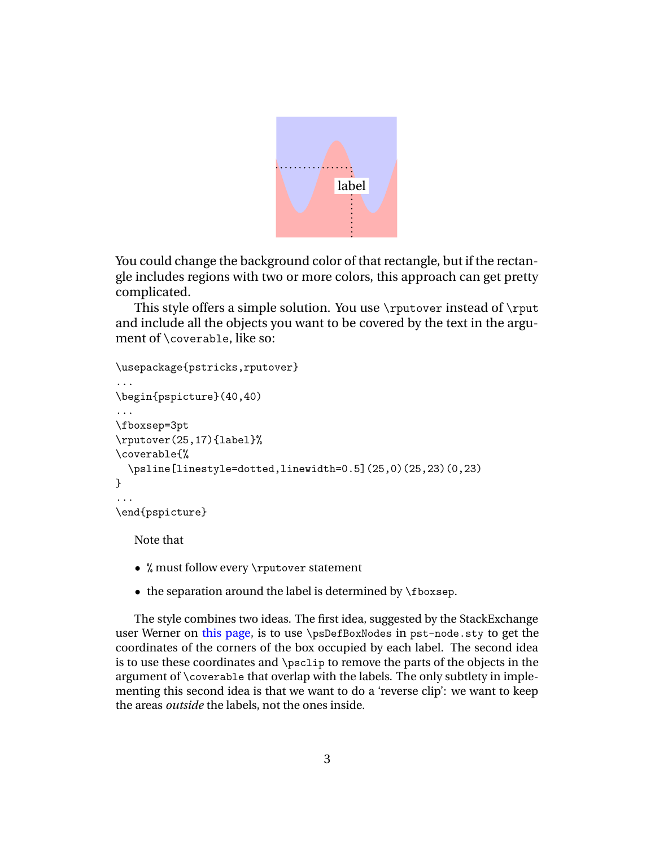

You could change the background color of that rectangle, but if the rectangle includes regions with two or more colors, this approach can get pretty complicated.

This style offers a simple solution. You use \rputover instead of \rput and include all the objects you want to be covered by the text in the argument of \coverable, like so:

```
\usepackage{pstricks,rputover}
...
\begin{pspicture}(40,40)
...
\fboxsep=3pt
\rputover(25,17){label}%
\coverable{%
  \psline[linestyle=dotted,linewidth=0.5](25,0)(25,23)(0,23)
}
...
\end{pspicture}
```
Note that

- % must follow every \rputover statement
- the separation around the label is determined by \fboxsep.

The style combines two ideas. The first idea, suggested by the StackExchange user Werner on [this page](http://tex.stackexchange.com/questions/353748/is-there-a-variant-of-rput-in-pstricks-that-preserves-background-fill-colors), is to use \psDefBoxNodes in pst-node.sty to get the coordinates of the corners of the box occupied by each label. The second idea is to use these coordinates and \psclip to remove the parts of the objects in the argument of \coverable that overlap with the labels. The only subtlety in implementing this second idea is that we want to do a 'reverse clip': we want to keep the areas *outside* the labels, not the ones inside.